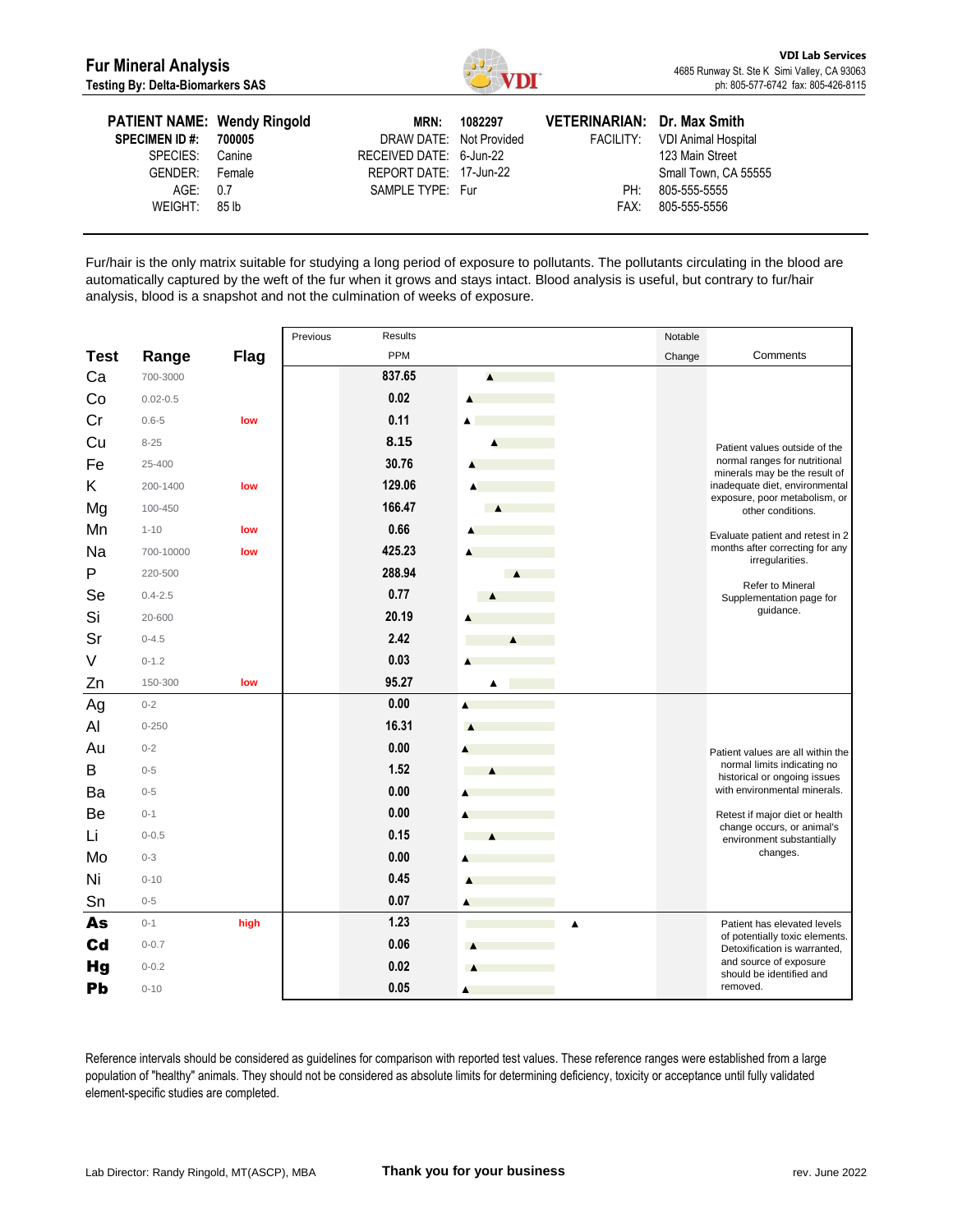

| <b>PATIENT NAME: Wendy Ringold</b><br><b>SPECIMEN ID #: 700005</b><br>SPECIES:<br>GENDER: Female | Canine | <b>MRN:</b><br>DRAW DATE: Not Provided<br>RECEIVED DATE: 6-Jun-22<br>REPORT DATE: 17-Jun-22 | 1082297 | VETERINARIAN: Dr. Max Smith | FACILITY: VDI Animal Hospital<br>123 Main Street<br>Small Town, CA 55555 |
|--------------------------------------------------------------------------------------------------|--------|---------------------------------------------------------------------------------------------|---------|-----------------------------|--------------------------------------------------------------------------|
| AGE: 0.7<br>WEIGHT: 85 lb                                                                        |        | SAMPLE TYPE: Fur                                                                            |         | PH:<br>FAX:                 | 805-555-5555<br>805-555-5556                                             |

Fur/hair is the only matrix suitable for studying a long period of exposure to pollutants. The pollutants circulating in the blood are automatically captured by the weft of the fur when it grows and stays intact. Blood analysis is useful, but contrary to fur/hair analysis, blood is a snapshot and not the culmination of weeks of exposure.

|             |              |             | Previous<br>Results |                          | Notable |                                                                                                                                                                                                                                                                                                                                                                                                                                                                                   |
|-------------|--------------|-------------|---------------------|--------------------------|---------|-----------------------------------------------------------------------------------------------------------------------------------------------------------------------------------------------------------------------------------------------------------------------------------------------------------------------------------------------------------------------------------------------------------------------------------------------------------------------------------|
| <b>Test</b> | Range        | <b>Flag</b> | PPM                 |                          | Change  | Comments                                                                                                                                                                                                                                                                                                                                                                                                                                                                          |
| Ca          | 700-3000     |             | 837.65              | $\blacktriangle$         |         |                                                                                                                                                                                                                                                                                                                                                                                                                                                                                   |
| Co          | $0.02 - 0.5$ |             | 0.02                | A                        |         |                                                                                                                                                                                                                                                                                                                                                                                                                                                                                   |
| Cr          | $0.6 - 5$    | low         | 0.11                | A                        |         |                                                                                                                                                                                                                                                                                                                                                                                                                                                                                   |
| Cu          | $8 - 25$     |             | 8.15                |                          |         | Patient values outside of the                                                                                                                                                                                                                                                                                                                                                                                                                                                     |
| Fe          | 25-400       |             | 30.76               |                          |         | normal ranges for nutritional                                                                                                                                                                                                                                                                                                                                                                                                                                                     |
| Κ           | 200-1400     | low         | 129.06              |                          |         | inadequate diet, environmental                                                                                                                                                                                                                                                                                                                                                                                                                                                    |
| Mg          | 100-450      |             | 166.47              | $\overline{\phantom{a}}$ |         | other conditions.                                                                                                                                                                                                                                                                                                                                                                                                                                                                 |
| Mn          | $1 - 10$     | low         | 0.66                |                          |         | Evaluate patient and retest in 2                                                                                                                                                                                                                                                                                                                                                                                                                                                  |
| Na          | 700-10000    | low         | 425.23              | A                        |         | months after correcting for any                                                                                                                                                                                                                                                                                                                                                                                                                                                   |
| P           | 220-500      |             | 288.94              | $\blacktriangle$         |         |                                                                                                                                                                                                                                                                                                                                                                                                                                                                                   |
| Se          | $0.4 - 2.5$  |             | 0.77                |                          |         | Supplementation page for                                                                                                                                                                                                                                                                                                                                                                                                                                                          |
| Si          | 20-600       |             | 20.19               |                          |         |                                                                                                                                                                                                                                                                                                                                                                                                                                                                                   |
| Sr          | $0 - 4.5$    |             | 2.42                | $\blacktriangle$         |         |                                                                                                                                                                                                                                                                                                                                                                                                                                                                                   |
| V           | $0 - 1.2$    |             | 0.03                |                          |         |                                                                                                                                                                                                                                                                                                                                                                                                                                                                                   |
| Zn          | 150-300      | low         | 95.27               |                          |         |                                                                                                                                                                                                                                                                                                                                                                                                                                                                                   |
| Ag          | $0 - 2$      |             | 0.00                |                          |         |                                                                                                                                                                                                                                                                                                                                                                                                                                                                                   |
| Al          | $0 - 250$    |             | 16.31               |                          |         |                                                                                                                                                                                                                                                                                                                                                                                                                                                                                   |
| Au          | $0 - 2$      |             | 0.00                |                          |         | Patient values are all within the                                                                                                                                                                                                                                                                                                                                                                                                                                                 |
| В           | $0 - 5$      |             | 1.52                |                          |         |                                                                                                                                                                                                                                                                                                                                                                                                                                                                                   |
| Ba          | $0 - 5$      |             | 0.00                |                          |         | minerals may be the result of<br>exposure, poor metabolism, or<br>irregularities.<br>Refer to Mineral<br>guidance.<br>normal limits indicating no<br>historical or ongoing issues<br>with environmental minerals.<br>Retest if major diet or health<br>change occurs, or animal's<br>environment substantially<br>changes.<br>Patient has elevated levels<br>of potentially toxic elements.<br>Detoxification is warranted,<br>and source of exposure<br>should be identified and |
| Be          | $0 - 1$      |             | 0.00                |                          |         |                                                                                                                                                                                                                                                                                                                                                                                                                                                                                   |
| Li          | $0 - 0.5$    |             | 0.15                |                          |         |                                                                                                                                                                                                                                                                                                                                                                                                                                                                                   |
| Mo          | $0 - 3$      |             | 0.00                |                          |         |                                                                                                                                                                                                                                                                                                                                                                                                                                                                                   |
| Ni          | $0 - 10$     |             | 0.45                |                          |         |                                                                                                                                                                                                                                                                                                                                                                                                                                                                                   |
| Sn          | $0 - 5$      |             | 0.07                | A                        |         |                                                                                                                                                                                                                                                                                                                                                                                                                                                                                   |
| As          | $0 - 1$      | high        | 1.23                | ▲                        |         |                                                                                                                                                                                                                                                                                                                                                                                                                                                                                   |
| <b>Cd</b>   | $0 - 0.7$    |             | 0.06                |                          |         |                                                                                                                                                                                                                                                                                                                                                                                                                                                                                   |
| <b>Hg</b>   | $0 - 0.2$    |             | 0.02                |                          |         |                                                                                                                                                                                                                                                                                                                                                                                                                                                                                   |
| Pb          | $0 - 10$     |             | 0.05                | ▲                        |         | removed.                                                                                                                                                                                                                                                                                                                                                                                                                                                                          |

Reference intervals should be considered as guidelines for comparison with reported test values. These reference ranges were established from a large population of "healthy" animals. They should not be considered as absolute limits for determining deficiency, toxicity or acceptance until fully validated element-specific studies are completed.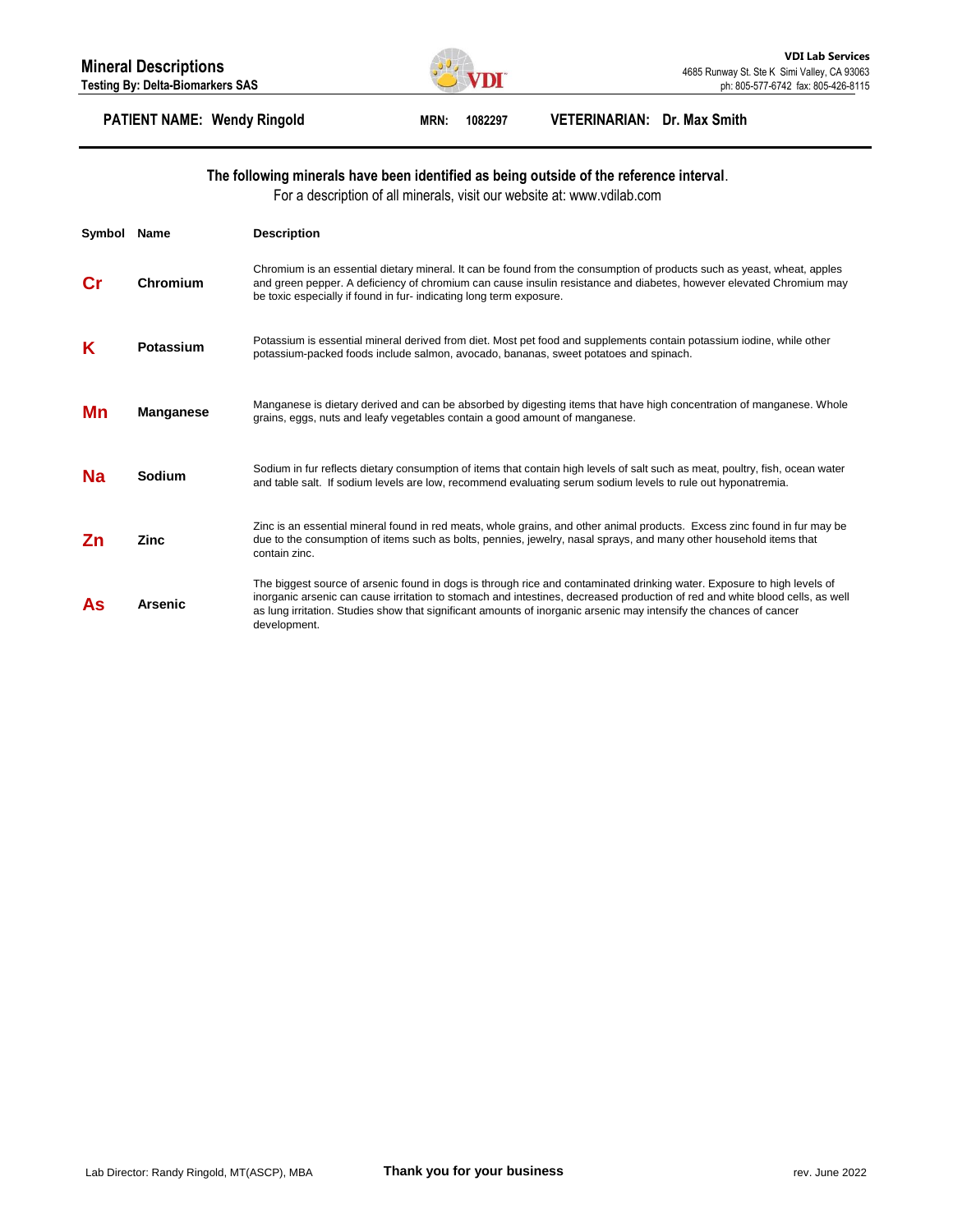

### **PATIENT NAME: Wendy Ringold MRN: 1082297 VETERINARIAN: Dr. Max Smith**

#### **The following minerals have been identified as being outside of the reference interval**.

For a description of all minerals, visit our website at: www.vdilab.com

| Symbol | Name          | <b>Description</b>                                                                                                                                                                                                                                                                                                                                                                            |
|--------|---------------|-----------------------------------------------------------------------------------------------------------------------------------------------------------------------------------------------------------------------------------------------------------------------------------------------------------------------------------------------------------------------------------------------|
| Сr     | Chromium      | Chromium is an essential dietary mineral. It can be found from the consumption of products such as yeast, wheat, apples<br>and green pepper. A deficiency of chromium can cause insulin resistance and diabetes, however elevated Chromium may<br>be toxic especially if found in fur-indicating long term exposure.                                                                          |
| Κ      | Potassium     | Potassium is essential mineral derived from diet. Most pet food and supplements contain potassium iodine, while other<br>potassium-packed foods include salmon, avocado, bananas, sweet potatoes and spinach.                                                                                                                                                                                 |
| Mn     | Manganese     | Manganese is dietary derived and can be absorbed by digesting items that have high concentration of manganese. Whole<br>grains, eggs, nuts and leafy vegetables contain a good amount of manganese.                                                                                                                                                                                           |
| Na     | <b>Sodium</b> | Sodium in fur reflects dietary consumption of items that contain high levels of salt such as meat, poultry, fish, ocean water<br>and table salt. If sodium levels are low, recommend evaluating serum sodium levels to rule out hyponatremia.                                                                                                                                                 |
| Ζn     | Zinc          | Zinc is an essential mineral found in red meats, whole grains, and other animal products. Excess zinc found in fur may be<br>due to the consumption of items such as bolts, pennies, jewelry, nasal sprays, and many other household items that<br>contain zinc.                                                                                                                              |
| As     | Arsenic       | The biggest source of arsenic found in dogs is through rice and contaminated drinking water. Exposure to high levels of<br>inorganic arsenic can cause irritation to stomach and intestines, decreased production of red and white blood cells, as well<br>as lung irritation. Studies show that significant amounts of inorganic arsenic may intensify the chances of cancer<br>development. |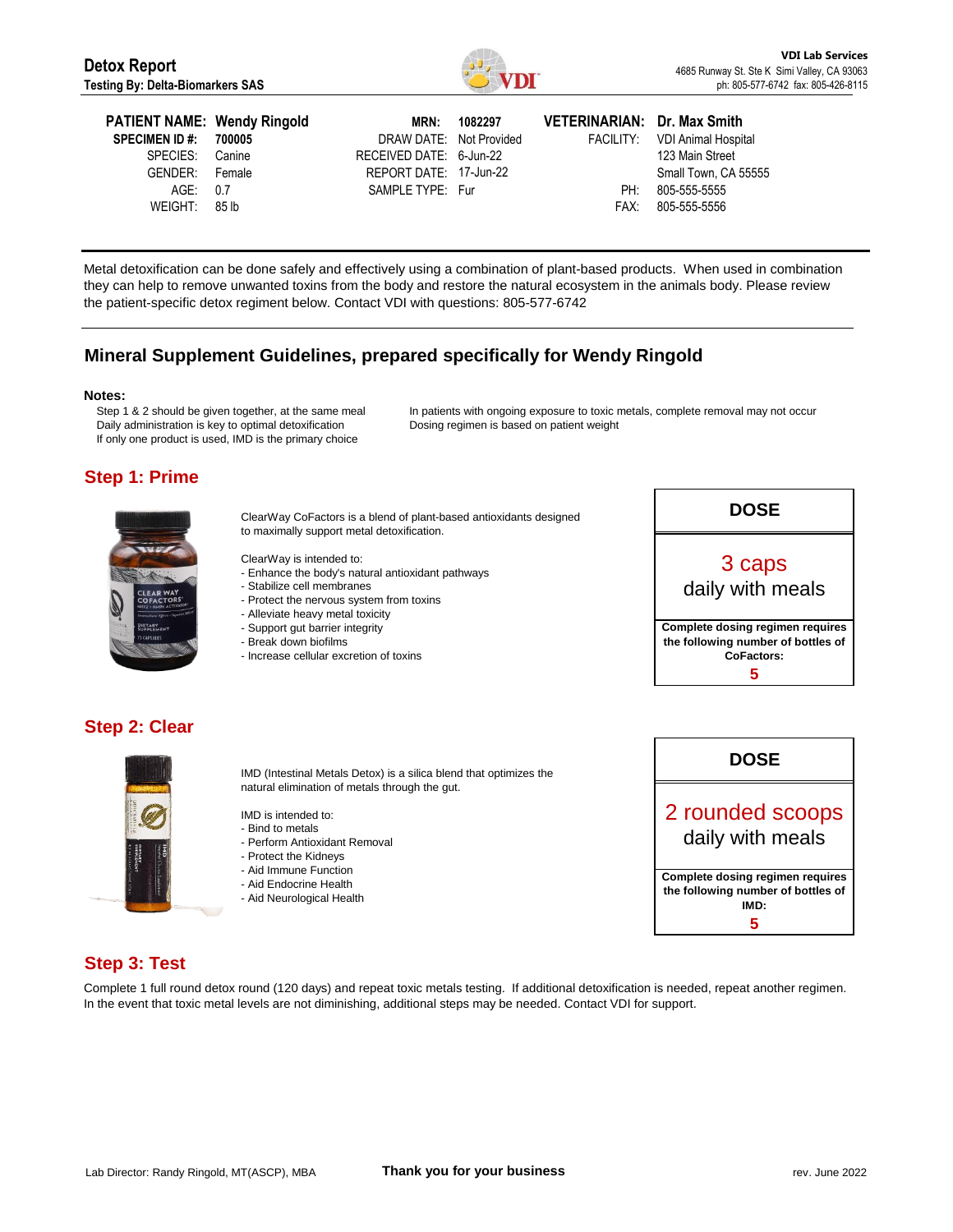

| <b>PATIENT NAME: Wendy Ringold</b><br><b>SPECIMEN ID #: 700005</b><br>SPECIES: Canine<br>GENDER: Female<br>AGE: 0.7<br>WEIGHT: 85 lb | DRAW DATE: Not Provided<br>RECEIVED DATE: 6-Jun-22<br>REPORT DATE: 17-Jun-22<br>SAMPLE TYPE: Fur | MRN: 1082297 | VETERINARIAN: Dr. Max Smith<br>PH: | FACILITY: VDI Animal Hospital<br>123 Main Street<br>Small Town, CA 55555<br>805-555-5555<br>FAX: 805-555-5556 |
|--------------------------------------------------------------------------------------------------------------------------------------|--------------------------------------------------------------------------------------------------|--------------|------------------------------------|---------------------------------------------------------------------------------------------------------------|
|--------------------------------------------------------------------------------------------------------------------------------------|--------------------------------------------------------------------------------------------------|--------------|------------------------------------|---------------------------------------------------------------------------------------------------------------|

Metal detoxification can be done safely and effectively using a combination of plant-based products. When used in combination they can help to remove unwanted toxins from the body and restore the natural ecosystem in the animals body. Please review the patient-specific detox regiment below. Contact VDI with questions: 805-577-6742

# **Mineral Supplement Guidelines, prepared specifically for Wendy Ringold**

#### **Notes:**

Step 1 & 2 should be given together, at the same meal Daily administration is key to optimal detoxification If only one product is used, IMD is the primary choice

In patients with ongoing exposure to toxic metals, complete removal may not occur Dosing regimen is based on patient weight

# **Step 1: Prime**



ClearWay CoFactors is a blend of plant-based antioxidants designed to maximally support metal detoxification.

ClearWay is intended to:

- Enhance the body's natural antioxidant pathways
- Stabilize cell membranes
- Protect the nervous system from toxins
- Alleviate heavy metal toxicity
- Support gut barrier integrity
- Break down biofilms
- Increase cellular excretion of toxins



## **Step 2: Clear**



IMD (Intestinal Metals Detox) is a silica blend that optimizes the natural elimination of metals through the gut.

IMD is intended to:

- Bind to metals
- Perform Antioxidant Removal
- Protect the Kidneys
- Aid Immune Function
- Aid Endocrine Health
- Aid Neurological Health



## **Step 3: Test**

Complete 1 full round detox round (120 days) and repeat toxic metals testing. If additional detoxification is needed, repeat another regimen. In the event that toxic metal levels are not diminishing, additional steps may be needed. Contact VDI for support.